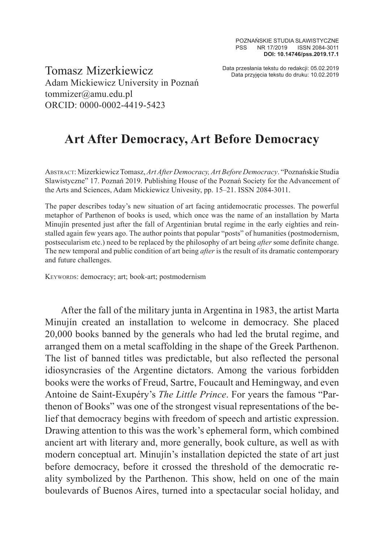Data przesłania tekstu do redakcji: 05.02.2019 Tomasz Mizerkiewicz Data przyjęcia tekstu do druku: 10.02.2019 Adam Mickiewicz University in Poznań tommizer@amu.edu.pl ORCID: 0000-0002-4419-5423

## **Art After Democracy, Art Before Democracy**

Abstract: Mizerkiewicz Tomasz, *Art After Democracy, Art Before Democracy*. "Poznańskie Studia Slawistyczne" 17. Poznań 2019. Publishing House of the Poznań Society for the Advancement of the Arts and Sciences, Adam Mickiewicz Univesity, pp. 15–21. ISSN 2084-3011.

The paper describes today's new situation of art facing antidemocratic processes. The powerful metaphor of Parthenon of books is used, which once was the name of an installation by Marta Minujín presented just after the fall of Argentinian brutal regime in the early eighties and reinstalled again few years ago. The author points that popular "posts" of humanities (postmodernism, postsecularism etc.) need to be replaced by the philosophy of art being *after* some definite change. The new temporal and public condition of art being *after* is the result of its dramatic contemporary and future challenges.

KEYWORDS: democracy; art; book-art; postmodernism

After the fall of the military junta in Argentina in 1983, the artist Marta Minujín created an installation to welcome in democracy. She placed 20,000 books banned by the generals who had led the brutal regime, and arranged them on a metal scaffolding in the shape of the Greek Parthenon. The list of banned titles was predictable, but also reflected the personal idiosyncrasies of the Argentine dictators. Among the various forbidden books were the works of Freud, Sartre, Foucault and Hemingway, and even Antoine de Saint-Exupéry's *The Little Prince*. For years the famous "Parthenon of Books" was one of the strongest visual representations of the belief that democracy begins with freedom of speech and artistic expression. Drawing attention to this was the work's ephemeral form, which combined ancient art with literary and, more generally, book culture, as well as with modern conceptual art. Minujín's installation depicted the state of art just before democracy, before it crossed the threshold of the democratic reality symbolized by the Parthenon. This show, held on one of the main boulevards of Buenos Aires, turned into a spectacular social holiday, and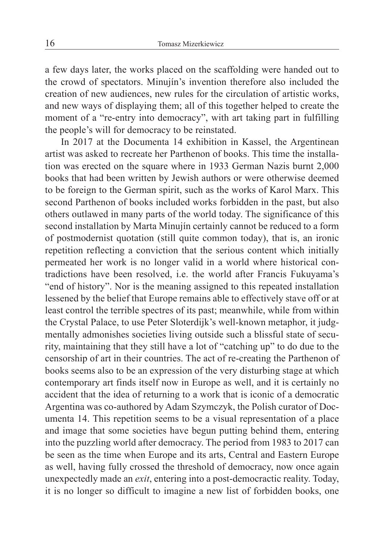a few days later, the works placed on the scaffolding were handed out to the crowd of spectators. Minujín's invention therefore also included the creation of new audiences, new rules for the circulation of artistic works, and new ways of displaying them; all of this together helped to create the moment of a "re-entry into democracy", with art taking part in fulfilling the people's will for democracy to be reinstated.

In 2017 at the Documenta 14 exhibition in Kassel, the Argentinean artist was asked to recreate her Parthenon of books. This time the installation was erected on the square where in 1933 German Nazis burnt 2,000 books that had been written by Jewish authors or were otherwise deemed to be foreign to the German spirit, such as the works of Karol Marx. This second Parthenon of books included works forbidden in the past, but also others outlawed in many parts of the world today. The significance of this second installation by Marta Minujín certainly cannot be reduced to a form of postmodernist quotation (still quite common today), that is, an ironic repetition reflecting a conviction that the serious content which initially permeated her work is no longer valid in a world where historical contradictions have been resolved, i.e. the world after Francis Fukuyama's "end of history". Nor is the meaning assigned to this repeated installation lessened by the belief that Europe remains able to effectively stave off or at least control the terrible spectres of its past; meanwhile, while from within the Crystal Palace, to use Peter Sloterdijk's well-known metaphor, it judgmentally admonishes societies living outside such a blissful state of security, maintaining that they still have a lot of "catching up" to do due to the censorship of art in their countries. The act of re-creating the Parthenon of books seems also to be an expression of the very disturbing stage at which contemporary art finds itself now in Europe as well, and it is certainly no accident that the idea of returning to a work that is iconic of a democratic Argentina was co-authored by Adam Szymczyk, the Polish curator of Documenta 14. This repetition seems to be a visual representation of a place and image that some societies have begun putting behind them, entering into the puzzling world after democracy. The period from 1983 to 2017 can be seen as the time when Europe and its arts, Central and Eastern Europe as well, having fully crossed the threshold of democracy, now once again unexpectedly made an *exit*, entering into a post-democractic reality. Today, it is no longer so difficult to imagine a new list of forbidden books, one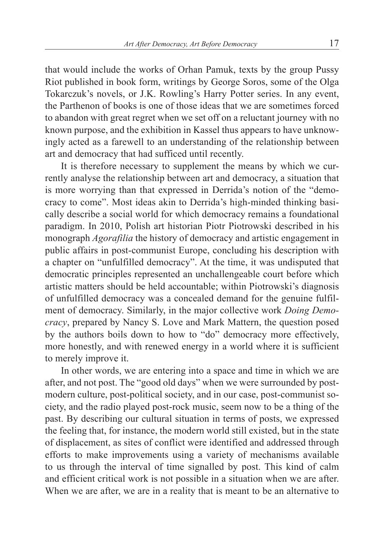that would include the works of Orhan Pamuk, texts by the group Pussy Riot published in book form, writings by George Soros, some of the Olga Tokarczuk's novels, or J.K. Rowling's Harry Potter series. In any event, the Parthenon of books is one of those ideas that we are sometimes forced to abandon with great regret when we set off on a reluctant journey with no known purpose, and the exhibition in Kassel thus appears to have unknowingly acted as a farewell to an understanding of the relationship between art and democracy that had sufficed until recently.

It is therefore necessary to supplement the means by which we currently analyse the relationship between art and democracy, a situation that is more worrying than that expressed in Derrida's notion of the "democracy to come". Most ideas akin to Derrida's high-minded thinking basically describe a social world for which democracy remains a foundational paradigm. In 2010, Polish art historian Piotr Piotrowski described in his monograph *Agorafilia* the history of democracy and artistic engagement in public affairs in post-communist Europe, concluding his description with a chapter on "unfulfilled democracy". At the time, it was undisputed that democratic principles represented an unchallengeable court before which artistic matters should be held accountable; within Piotrowski's diagnosis of unfulfilled democracy was a concealed demand for the genuine fulfilment of democracy. Similarly, in the major collective work *Doing Democracy*, prepared by Nancy S. Love and Mark Mattern, the question posed by the authors boils down to how to "do" democracy more effectively, more honestly, and with renewed energy in a world where it is sufficient to merely improve it.

In other words, we are entering into a space and time in which we are after, and not post. The "good old days" when we were surrounded by postmodern culture, post-political society, and in our case, post-communist society, and the radio played post-rock music, seem now to be a thing of the past. By describing our cultural situation in terms of posts, we expressed the feeling that, for instance, the modern world still existed, but in the state of displacement, as sites of conflict were identified and addressed through efforts to make improvements using a variety of mechanisms available to us through the interval of time signalled by post. This kind of calm and efficient critical work is not possible in a situation when we are after. When we are after, we are in a reality that is meant to be an alternative to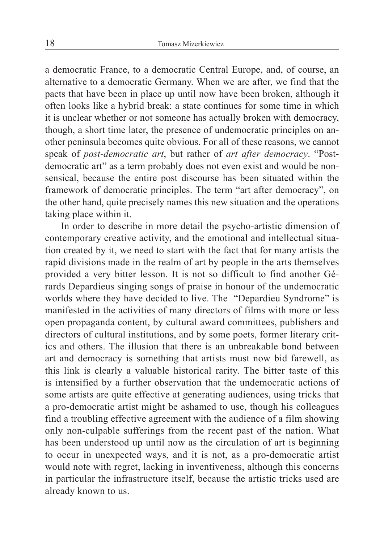a democratic France, to a democratic Central Europe, and, of course, an alternative to a democratic Germany. When we are after, we find that the pacts that have been in place up until now have been broken, although it often looks like a hybrid break: a state continues for some time in which it is unclear whether or not someone has actually broken with democracy, though, a short time later, the presence of undemocratic principles on another peninsula becomes quite obvious. For all of these reasons, we cannot speak of *post-democratic art*, but rather of *art after democracy*. "Postdemocratic art" as a term probably does not even exist and would be nonsensical, because the entire post discourse has been situated within the framework of democratic principles. The term "art after democracy", on the other hand, quite precisely names this new situation and the operations taking place within it.

In order to describe in more detail the psycho-artistic dimension of contemporary creative activity, and the emotional and intellectual situation created by it, we need to start with the fact that for many artists the rapid divisions made in the realm of art by people in the arts themselves provided a very bitter lesson. It is not so difficult to find another Gérards Depardieus singing songs of praise in honour of the undemocratic worlds where they have decided to live. The "Depardieu Syndrome" is manifested in the activities of many directors of films with more or less open propaganda content, by cultural award committees, publishers and directors of cultural institutions, and by some poets, former literary critics and others. The illusion that there is an unbreakable bond between art and democracy is something that artists must now bid farewell, as this link is clearly a valuable historical rarity. The bitter taste of this is intensified by a further observation that the undemocratic actions of some artists are quite effective at generating audiences, using tricks that a pro-democratic artist might be ashamed to use, though his colleagues find a troubling effective agreement with the audience of a film showing only non-culpable sufferings from the recent past of the nation. What has been understood up until now as the circulation of art is beginning to occur in unexpected ways, and it is not, as a pro-democratic artist would note with regret, lacking in inventiveness, although this concerns in particular the infrastructure itself, because the artistic tricks used are already known to us.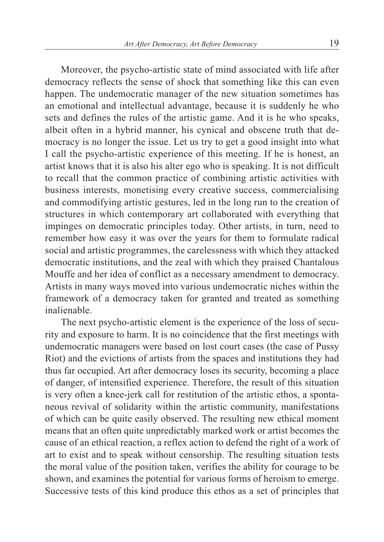Moreover, the psycho-artistic state of mind associated with life after democracy reflects the sense of shock that something like this can even happen. The undemocratic manager of the new situation sometimes has an emotional and intellectual advantage, because it is suddenly he who sets and defines the rules of the artistic game. And it is he who speaks, albeit often in a hybrid manner, his cynical and obscene truth that democracy is no longer the issue. Let us try to get a good insight into what I call the psycho-artistic experience of this meeting. If he is honest, an artist knows that it is also his alter ego who is speaking. It is not difficult to recall that the common practice of combining artistic activities with business interests, monetising every creative success, commercialising and commodifying artistic gestures, led in the long run to the creation of structures in which contemporary art collaborated with everything that impinges on democratic principles today. Other artists, in turn, need to remember how easy it was over the years for them to formulate radical social and artistic programmes, the carelessness with which they attacked democratic institutions, and the zeal with which they praised Chantalous Mouffe and her idea of conflict as a necessary amendment to democracy. Artists in many ways moved into various undemocratic niches within the framework of a democracy taken for granted and treated as something inalienable.

The next psycho-artistic element is the experience of the loss of security and exposure to harm. It is no coincidence that the first meetings with undemocratic managers were based on lost court cases (the case of Pussy Riot) and the evictions of artists from the spaces and institutions they had thus far occupied. Art after democracy loses its security, becoming a place of danger, of intensified experience. Therefore, the result of this situation is very often a knee-jerk call for restitution of the artistic ethos, a spontaneous revival of solidarity within the artistic community, manifestations of which can be quite easily observed. The resulting new ethical moment means that an often quite unpredictably marked work or artist becomes the cause of an ethical reaction, a reflex action to defend the right of a work of art to exist and to speak without censorship. The resulting situation tests the moral value of the position taken, verifies the ability for courage to be shown, and examines the potential for various forms of heroism to emerge. Successive tests of this kind produce this ethos as a set of principles that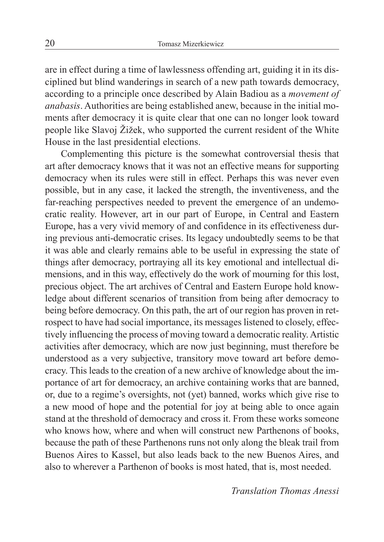are in effect during a time of lawlessness offending art, guiding it in its disciplined but blind wanderings in search of a new path towards democracy, according to a principle once described by Alain Badiou as a *movement of anabasis*. Authorities are being established anew, because in the initial moments after democracy it is quite clear that one can no longer look toward people like Slavoj Žižek, who supported the current resident of the White House in the last presidential elections.

Complementing this picture is the somewhat controversial thesis that art after democracy knows that it was not an effective means for supporting democracy when its rules were still in effect. Perhaps this was never even possible, but in any case, it lacked the strength, the inventiveness, and the far-reaching perspectives needed to prevent the emergence of an undemocratic reality. However, art in our part of Europe, in Central and Eastern Europe, has a very vivid memory of and confidence in its effectiveness during previous anti-democratic crises. Its legacy undoubtedly seems to be that it was able and clearly remains able to be useful in expressing the state of things after democracy, portraying all its key emotional and intellectual dimensions, and in this way, effectively do the work of mourning for this lost, precious object. The art archives of Central and Eastern Europe hold knowledge about different scenarios of transition from being after democracy to being before democracy. On this path, the art of our region has proven in retrospect to have had social importance, its messages listened to closely, effectively influencing the process of moving toward a democratic reality. Artistic activities after democracy, which are now just beginning, must therefore be understood as a very subjective, transitory move toward art before democracy. This leads to the creation of a new archive of knowledge about the importance of art for democracy, an archive containing works that are banned, or, due to a regime's oversights, not (yet) banned, works which give rise to a new mood of hope and the potential for joy at being able to once again stand at the threshold of democracy and cross it. From these works someone who knows how, where and when will construct new Parthenons of books, because the path of these Parthenons runs not only along the bleak trail from Buenos Aires to Kassel, but also leads back to the new Buenos Aires, and also to wherever a Parthenon of books is most hated, that is, most needed.

*Translation Thomas Anessi*